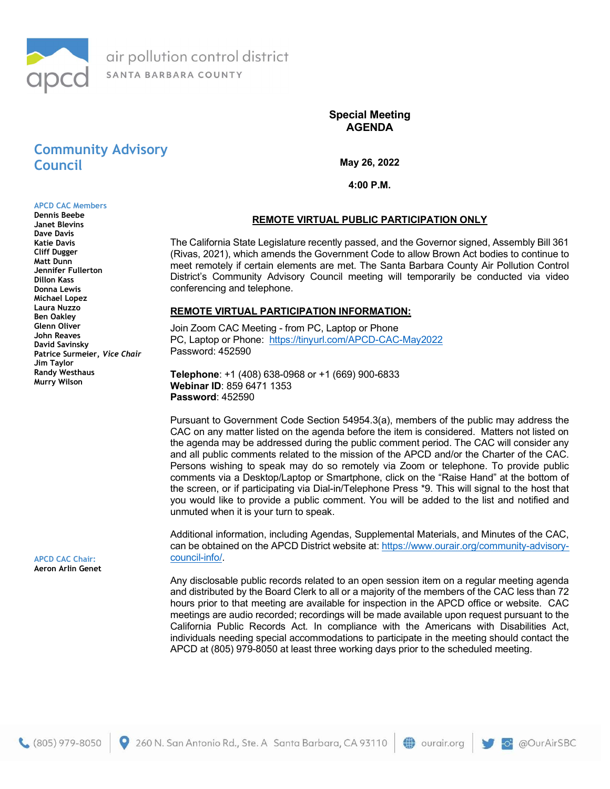

Special Meeting AGENDA

# Community Advisory Council

May 26, 2022

4:00 P.M.

#### APCD CAC Members Dennis Beebe

Janet Blevins Dave Davis Katie Davis Cliff Dugger Matt Dunn Jennifer Fullerton Dillon Kass Donna Lewis Michael Lopez Laura Nuzzo Ben Oakley Glenn Oliver John Reaves David Savinsky Patrice Surmeier, Vice Chair Jim Taylor Randy Westhaus Murry Wilson

APCD CAC Chair: Aeron Arlin Genet

## REMOTE VIRTUAL PUBLIC PARTICIPATION ONLY

The California State Legislature recently passed, and the Governor signed, Assembly Bill 361 (Rivas, 2021), which amends the Government Code to allow Brown Act bodies to continue to meet remotely if certain elements are met. The Santa Barbara County Air Pollution Control District's Community Advisory Council meeting will temporarily be conducted via video conferencing and telephone.

#### REMOTE VIRTUAL PARTICIPATION INFORMATION:

Join Zoom CAC Meeting - from PC, Laptop or Phone PC, Laptop or Phone: https://tinyurl.com/APCD-CAC-May2022 Password: 452590

Telephone: +1 (408) 638-0968 or +1 (669) 900-6833 Webinar ID: 859 6471 1353 Password: 452590

260 N. San Antonio Rd., Ste. A Santa Barbara, CA 93110

Pursuant to Government Code Section 54954.3(a), members of the public may address the CAC on any matter listed on the agenda before the item is considered. Matters not listed on the agenda may be addressed during the public comment period. The CAC will consider any and all public comments related to the mission of the APCD and/or the Charter of the CAC. Persons wishing to speak may do so remotely via Zoom or telephone. To provide public comments via a Desktop/Laptop or Smartphone, click on the "Raise Hand" at the bottom of the screen, or if participating via Dial-in/Telephone Press \*9. This will signal to the host that you would like to provide a public comment. You will be added to the list and notified and unmuted when it is your turn to speak.

Additional information, including Agendas, Supplemental Materials, and Minutes of the CAC, can be obtained on the APCD District website at: https://www.ourair.org/community-advisorycouncil-info/.

Any disclosable public records related to an open session item on a regular meeting agenda and distributed by the Board Clerk to all or a majority of the members of the CAC less than 72 hours prior to that meeting are available for inspection in the APCD office or website. CAC meetings are audio recorded; recordings will be made available upon request pursuant to the California Public Records Act. In compliance with the Americans with Disabilities Act, individuals needing special accommodations to participate in the meeting should contact the APCD at (805) 979-8050 at least three working days prior to the scheduled meeting.

ourair.org

@OurAirSBC